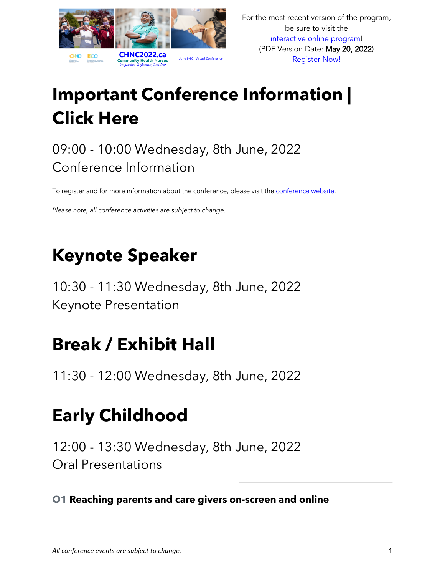

# **Important Conference Information | Click Here**

### 09:00 - 10:00 Wednesday, 8th June, 2022 Conference Information

To register and for more information about the conference, please visit the [conference website](https://chnc2022.ca/).

*Please note, all conference activities are subject to change.*

### **Keynote Speaker**

10:30 - 11:30 Wednesday, 8th June, 2022 Keynote Presentation

### **Break / Exhibit Hall**

11:30 - 12:00 Wednesday, 8th June, 2022

## **Early Childhood**

12:00 - 13:30 Wednesday, 8th June, 2022 Oral Presentations

**O1 Reaching parents and care givers on-screen and online**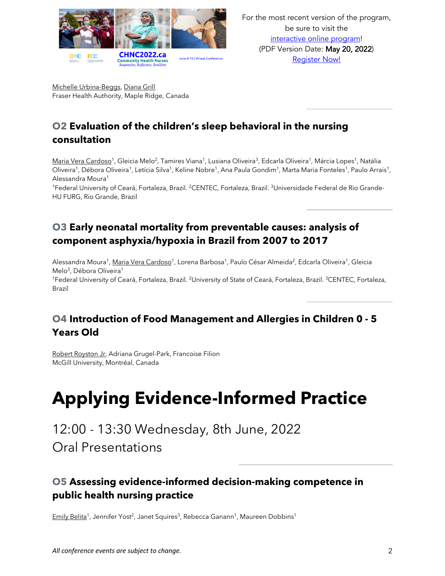

Michelle Urbina-Beggs, Diana Grill Fraser Health Authority, Maple Ridge, Canada

#### **O2 Evaluation of the children's sleep behavioral in the nursing consultation**

Maria Vera Cardoso<sup>1</sup>, Gleicia Melo<sup>2</sup>, Tamires Viana<sup>1</sup>, Lusiana Oliveira<sup>3</sup>, Edcarla Oliveira<sup>1</sup>, Márcia Lopes<sup>1</sup>, Natália Oliveira<sup>1</sup>, Débora Oliveira<sup>1</sup>, Letícia Silva<sup>1</sup>, Keline Nobre<sup>1</sup>, Ana Paula Gondim<sup>1</sup>, Marta Maria Fonteles<sup>1</sup>, Paulo Arrais<sup>1</sup>, Alessandra Moura1

<sup>1</sup>Federal University of Ceará, Fortaleza, Brazil. <sup>2</sup>CENTEC, Fortaleza, Brazil. <sup>3</sup>Universidade Federal de Rio Grande-HU FURG, Rio Grande, Brazil

#### **O3 Early neonatal mortality from preventable causes: analysis of component asphyxia/hypoxia in Brazil from 2007 to 2017**

Alessandra Moura<sup>1</sup>, Maria Vera Cardoso<sup>1</sup>, Lorena Barbosa<sup>1</sup>, Paulo César Almeida<sup>2</sup>, Edcarla Oliveira<sup>1</sup>, Gleicia Melo<sup>3</sup>, Débora Oliveira<sup>1</sup>

<sup>1</sup>Federal University of Ceará, Fortaleza, Brazil. <sup>2</sup>University of State of Ceará, Fortaleza, Brazil. <sup>3</sup>CENTEC, Fortaleza, Brazil

#### **O4 Introduction of Food Management and Allergies in Children 0 - 5 Years Old**

Robert Royston Jr, Adriana Grugel-Park, Francoise Filion McGill University, Montréal, Canada

# **Applying Evidence-Informed Practice**

12:00 - 13:30 Wednesday, 8th June, 2022 Oral Presentations

#### **O5 Assessing evidence-informed decision-making competence in public health nursing practice**

Emily Belita<sup>1</sup>, Jennifer Yost<sup>2</sup>, Janet Squires<sup>3</sup>, Rebecca Ganann<sup>1</sup>, Maureen Dobbins<sup>1</sup>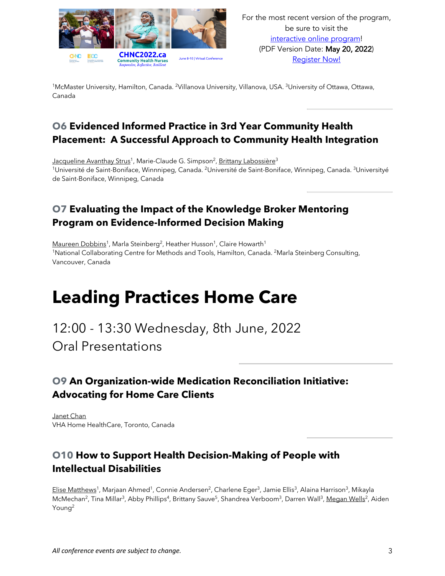

<sup>1</sup>McMaster University, Hamilton, Canada. <sup>2</sup>Villanova University, Villanova, USA. <sup>3</sup>University of Ottawa, Ottawa, Canada

#### **O6 Evidenced Informed Practice in 3rd Year Community Health Placement: A Successful Approach to Community Health Integration**

Jacqueline Avanthay Strus<sup>1</sup>, Marie-Claude G. Simpson<sup>2</sup>, Brittany Labossière<sup>3</sup> <sup>1</sup>Université de Saint-Boniface, Winnnipeg, Canada. <sup>2</sup>Université de Saint-Boniface, Winnipeg, Canada. <sup>3</sup>Universityé de Saint-Boniface, Winnipeg, Canada

#### **O7 Evaluating the Impact of the Knowledge Broker Mentoring Program on Evidence-Informed Decision Making**

Maureen Dobbins<sup>1</sup>, Marla Steinberg<sup>2</sup>, Heather Husson<sup>1</sup>, Claire Howarth<sup>1</sup> <sup>1</sup>National Collaborating Centre for Methods and Tools, Hamilton, Canada. <sup>2</sup>Marla Steinberg Consulting, Vancouver, Canada

### **Leading Practices Home Care**

12:00 - 13:30 Wednesday, 8th June, 2022 Oral Presentations

#### **O9 An Organization-wide Medication Reconciliation Initiative: Advocating for Home Care Clients**

Janet Chan VHA Home HealthCare, Toronto, Canada

#### **O10 How to Support Health Decision-Making of People with Intellectual Disabilities**

Elise Matthews<sup>1</sup>, Marjaan Ahmed<sup>1</sup>, Connie Andersen<sup>2</sup>, Charlene Eger<sup>3</sup>, Jamie Ellis<sup>3</sup>, Alaina Harrison<sup>3</sup>, Mikayla McMechan<sup>2</sup>, Tina Millar<sup>3</sup>, Abby Phillips<sup>4</sup>, Brittany Sauve<sup>5</sup>, Shandrea Verboom<sup>3</sup>, Darren Wall<sup>3</sup>, Megan Wells<sup>2</sup>, Aiden Young2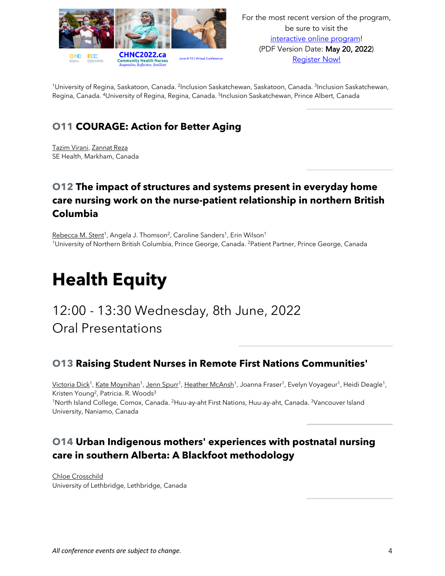

For the most recent version of the program, be sure to visit the interactive online program! (PDF Version Date: May 20, 2022) Register Now!

<sup>1</sup>University of Regina, Saskatoon, Canada. <sup>2</sup>Inclusion Saskatchewan, Saskatoon, Canada. <sup>3</sup>Inclusion Saskatchewan, Regina, Canada. <sup>4</sup>University of Regina, Regina, Canada. <sup>5</sup>Inclusion Saskatchewan, Prince Albert, Canada

#### **O11 COURAGE: Action for Better Aging**

Tazim Virani, Zannat Reza SE Health, Markham, Canada

#### **O12 The impact of structures and systems present in everyday home care nursing work on the nurse-patient relationship in northern British Columbia**

Rebecca M. Stent<sup>1</sup>, Angela J. Thomson<sup>2</sup>, Caroline Sanders<sup>1</sup>, Erin Wilson<sup>1</sup> 1University of Northern British Columbia, Prince George, Canada. 2Patient Partner, Prince George, Canada

## **Health Equity**

### 12:00 - 13:30 Wednesday, 8th June, 2022 Oral Presentations

#### **O13 Raising Student Nurses in Remote First Nations Communities'**

Victoria Dick<sup>1</sup>, Kate Moynihan<sup>1</sup>, Jenn Spurr<sup>1</sup>, Heather McAnsh<sup>1</sup>, Joanna Fraser<sup>1</sup>, Evelyn Voyageur<sup>1</sup>, Heidi Deagle<sup>1</sup>, Kristen Young<sup>2</sup>, Patricia. R. Woods<sup>3</sup> 1North Island College, Comox, Canada. 2Huu-ay-aht First Nations, Huu-ay-aht, Canada. 3Vancouver Island University, Naniamo, Canada

#### **O14 Urban Indigenous mothers' experiences with postnatal nursing care in southern Alberta: A Blackfoot methodology**

Chloe Crosschild University of Lethbridge, Lethbridge, Canada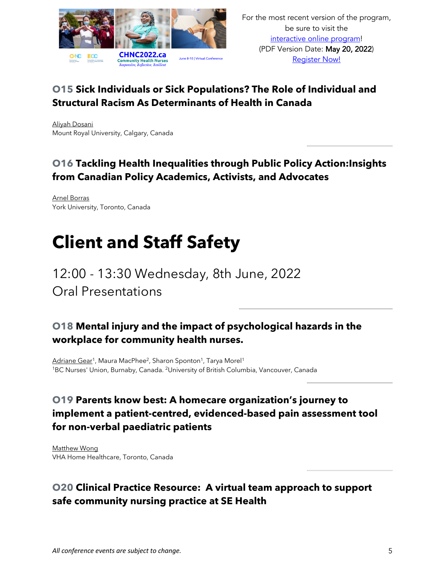

#### **O15 Sick Individuals or Sick Populations? The Role of Individual and Structural Racism As Determinants of Health in Canada**

Aliyah Dosani Mount Royal University, Calgary, Canada

#### **O16 Tackling Health Inequalities through Public Policy Action:Insights from Canadian Policy Academics, Activists, and Advocates**

Arnel Borras York University, Toronto, Canada

## **Client and Staff Safety**

12:00 - 13:30 Wednesday, 8th June, 2022 Oral Presentations

#### **O18 Mental injury and the impact of psychological hazards in the workplace for community health nurses.**

Adriane Gear<sup>1</sup>, Maura MacPhee<sup>2</sup>, Sharon Sponton<sup>1</sup>, Tarya Morel<sup>1</sup> <sup>1</sup>BC Nurses' Union, Burnaby, Canada. <sup>2</sup>University of British Columbia, Vancouver, Canada

#### **O19 Parents know best: A homecare organization's journey to implement a patient-centred, evidenced-based pain assessment tool for non-verbal paediatric patients**

Matthew Wong VHA Home Healthcare, Toronto, Canada

#### **O20 Clinical Practice Resource: A virtual team approach to support safe community nursing practice at SE Health**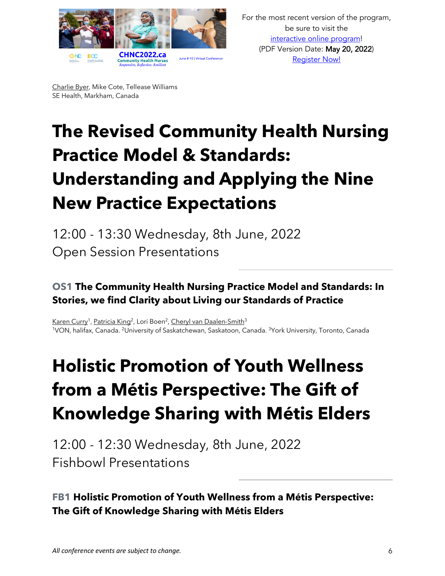

Charlie Byer, Mike Cote, Tellease Williams SE Health, Markham, Canada

# **The Revised Community Health Nursing Practice Model & Standards: Understanding and Applying the Nine New Practice Expectations**

12:00 - 13:30 Wednesday, 8th June, 2022 Open Session Presentations

#### **OS1 The Community Health Nursing Practice Model and Standards: In Stories, we find Clarity about Living our Standards of Practice**

Karen Curry<sup>1</sup>, Patricia King<sup>2</sup>, Lori Boen<sup>2</sup>, Cheryl van Daalen-Smith<sup>3</sup> 1VON, halifax, Canada. 2University of Saskatchewan, Saskatoon, Canada. 3York University, Toronto, Canada

# **Holistic Promotion of Youth Wellness from a Métis Perspective: The Gift of Knowledge Sharing with Métis Elders**

12:00 - 12:30 Wednesday, 8th June, 2022 Fishbowl Presentations

#### **FB1 Holistic Promotion of Youth Wellness from a Métis Perspective: The Gift of Knowledge Sharing with Métis Elders**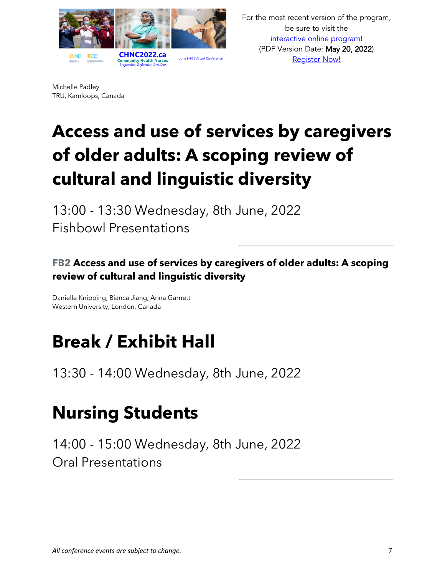

For the most recent version of the program, be sure to visit the interactive online program! (PDF Version Date: May 20, 2022) Register Now!

Michelle Padley TRU, Kamloops, Canada

# **Access and use of services by caregivers of older adults: A scoping review of cultural and linguistic diversity**

13:00 - 13:30 Wednesday, 8th June, 2022 Fishbowl Presentations

#### **FB2 Access and use of services by caregivers of older adults: A scoping review of cultural and linguistic diversity**

Danielle Knipping, Bianca Jiang, Anna Garnett Western University, London, Canada

### **Break / Exhibit Hall**

13:30 - 14:00 Wednesday, 8th June, 2022

### **Nursing Students**

14:00 - 15:00 Wednesday, 8th June, 2022 Oral Presentations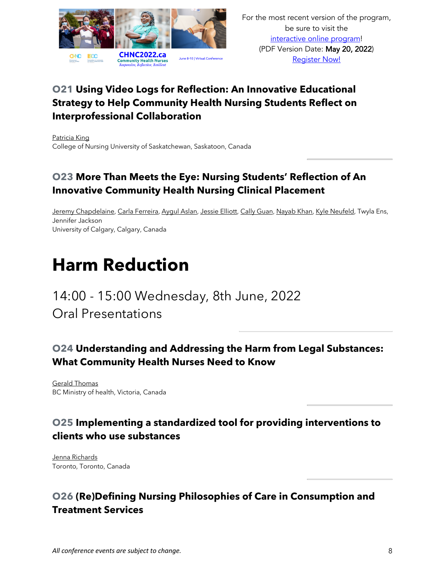

#### **O21 Using Video Logs for Reflection: An Innovative Educational Strategy to Help Community Health Nursing Students Reflect on Interprofessional Collaboration**

Patricia King College of Nursing University of Saskatchewan, Saskatoon, Canada

#### **O23 More Than Meets the Eye: Nursing Students' Reflection of An Innovative Community Health Nursing Clinical Placement**

Jeremy Chapdelaine, Carla Ferreira, Aygul Aslan, Jessie Elliott, Cally Guan, Nayab Khan, Kyle Neufeld, Twyla Ens, Jennifer Jackson University of Calgary, Calgary, Canada

## **Harm Reduction**

### 14:00 - 15:00 Wednesday, 8th June, 2022 Oral Presentations

#### **O24 Understanding and Addressing the Harm from Legal Substances: What Community Health Nurses Need to Know**

Gerald Thomas BC Ministry of health, Victoria, Canada

#### **O25 Implementing a standardized tool for providing interventions to clients who use substances**

Jenna Richards Toronto, Toronto, Canada

#### **O26 (Re)Defining Nursing Philosophies of Care in Consumption and Treatment Services**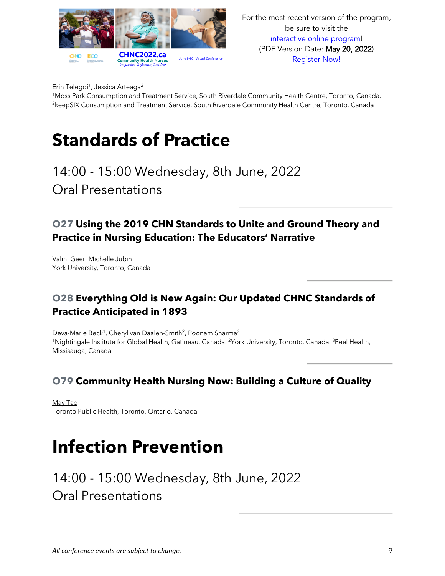

For the most recent version of the program, be sure to visit the interactive online program! (PDF Version Date: May 20, 2022) Register Now!

Erin Telegdi<sup>1</sup>, Jessica Arteaga<sup>2</sup>

1Moss Park Consumption and Treatment Service, South Riverdale Community Health Centre, Toronto, Canada. <sup>2</sup>keepSIX Consumption and Treatment Service, South Riverdale Community Health Centre, Toronto, Canada

### **Standards of Practice**

14:00 - 15:00 Wednesday, 8th June, 2022 Oral Presentations

#### **O27 Using the 2019 CHN Standards to Unite and Ground Theory and Practice in Nursing Education: The Educators' Narrative**

Valini Geer, Michelle Jubin York University, Toronto, Canada

#### **O28 Everything Old is New Again: Our Updated CHNC Standards of Practice Anticipated in 1893**

Deva-Marie Beck<sup>1</sup>, Cheryl van Daalen-Smith<sup>2</sup>, Poonam Sharma<sup>3</sup> 1Nightingale Institute for Global Health, Gatineau, Canada. 2York University, Toronto, Canada. 3Peel Health, Missisauga, Canada

#### **O79 Community Health Nursing Now: Building a Culture of Quality**

May Tao Toronto Public Health, Toronto, Ontario, Canada

### **Infection Prevention**

14:00 - 15:00 Wednesday, 8th June, 2022 Oral Presentations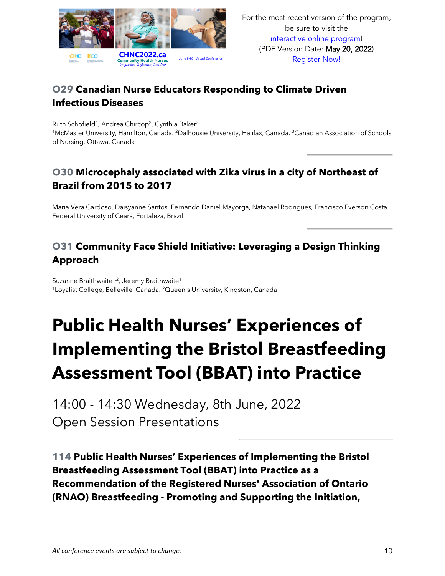

#### **O29 Canadian Nurse Educators Responding to Climate Driven Infectious Diseases**

Ruth Schofield<sup>1</sup>, Andrea Chircop<sup>2</sup>, Cynthia Baker<sup>3</sup> <sup>1</sup>McMaster University, Hamilton, Canada. <sup>2</sup>Dalhousie University, Halifax, Canada. <sup>3</sup>Canadian Association of Schools of Nursing, Ottawa, Canada

#### **O30 Microcephaly associated with Zika virus in a city of Northeast of Brazil from 2015 to 2017**

Maria Vera Cardoso, Daisyanne Santos, Fernando Daniel Mayorga, Natanael Rodrigues, Francisco Everson Costa Federal University of Ceará, Fortaleza, Brazil

#### **O31 Community Face Shield Initiative: Leveraging a Design Thinking Approach**

Suzanne Braithwaite<sup>1,2</sup>, Jeremy Braithwaite<sup>1</sup> <sup>1</sup>Loyalist College, Belleville, Canada. <sup>2</sup>Queen's University, Kingston, Canada

# **Public Health Nurses' Experiences of Implementing the Bristol Breastfeeding Assessment Tool (BBAT) into Practice**

14:00 - 14:30 Wednesday, 8th June, 2022 Open Session Presentations

**114 Public Health Nurses' Experiences of Implementing the Bristol Breastfeeding Assessment Tool (BBAT) into Practice as a Recommendation of the Registered Nurses' Association of Ontario (RNAO) Breastfeeding - Promoting and Supporting the Initiation,**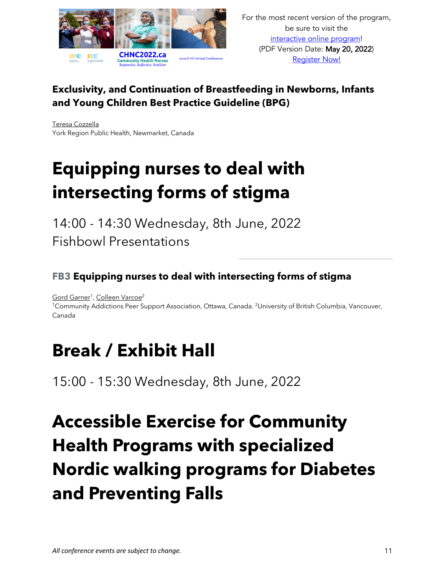

#### **Exclusivity, and Continuation of Breastfeeding in Newborns, Infants and Young Children Best Practice Guideline (BPG)**

Teresa Cozzella York Region Public Health, Newmarket, Canada

# **Equipping nurses to deal with intersecting forms of stigma**

14:00 - 14:30 Wednesday, 8th June, 2022 Fishbowl Presentations

#### **FB3 Equipping nurses to deal with intersecting forms of stigma**

Gord Garner<sup>1</sup>, Colleen Varcoe<sup>2</sup>

<sup>1</sup>Community Addictions Peer Support Association, Ottawa, Canada. <sup>2</sup>University of British Columbia, Vancouver, Canada

## **Break / Exhibit Hall**

15:00 - 15:30 Wednesday, 8th June, 2022

# **Accessible Exercise for Community Health Programs with specialized Nordic walking programs for Diabetes and Preventing Falls**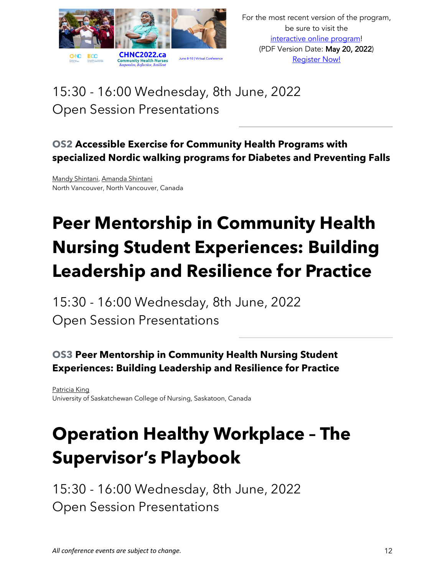

### 15:30 - 16:00 Wednesday, 8th June, 2022 Open Session Presentations

#### **OS2 Accessible Exercise for Community Health Programs with specialized Nordic walking programs for Diabetes and Preventing Falls**

Mandy Shintani, Amanda Shintani North Vancouver, North Vancouver, Canada

# **Peer Mentorship in Community Health Nursing Student Experiences: Building Leadership and Resilience for Practice**

15:30 - 16:00 Wednesday, 8th June, 2022 Open Session Presentations

#### **OS3 Peer Mentorship in Community Health Nursing Student Experiences: Building Leadership and Resilience for Practice**

Patricia King University of Saskatchewan College of Nursing, Saskatoon, Canada

# **Operation Healthy Workplace – The Supervisor's Playbook**

15:30 - 16:00 Wednesday, 8th June, 2022 Open Session Presentations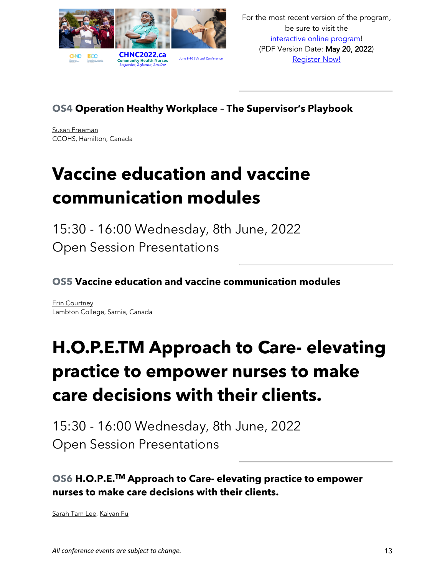

#### **OS4 Operation Healthy Workplace – The Supervisor's Playbook**

Susan Freeman CCOHS, Hamilton, Canada

# **Vaccine education and vaccine communication modules**

15:30 - 16:00 Wednesday, 8th June, 2022 Open Session Presentations

**OS5 Vaccine education and vaccine communication modules**

Erin Courtney Lambton College, Sarnia, Canada

# **H.O.P.E.TM Approach to Care- elevating practice to empower nurses to make care decisions with their clients.**

15:30 - 16:00 Wednesday, 8th June, 2022 Open Session Presentations

**OS6 H.O.P.E.TM Approach to Care- elevating practice to empower nurses to make care decisions with their clients.**

Sarah Tam Lee, Kaiyan Fu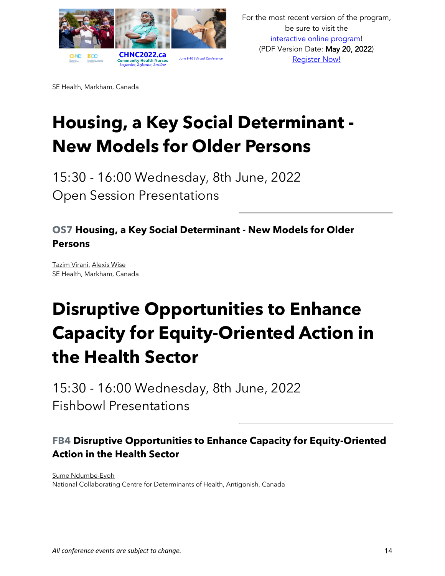

SE Health, Markham, Canada

# **Housing, a Key Social Determinant - New Models for Older Persons**

15:30 - 16:00 Wednesday, 8th June, 2022 Open Session Presentations

#### **OS7 Housing, a Key Social Determinant - New Models for Older Persons**

Tazim Virani, Alexis Wise SE Health, Markham, Canada

# **Disruptive Opportunities to Enhance Capacity for Equity-Oriented Action in the Health Sector**

15:30 - 16:00 Wednesday, 8th June, 2022 Fishbowl Presentations

#### **FB4 Disruptive Opportunities to Enhance Capacity for Equity-Oriented Action in the Health Sector**

Sume Ndumbe-Eyoh National Collaborating Centre for Determinants of Health, Antigonish, Canada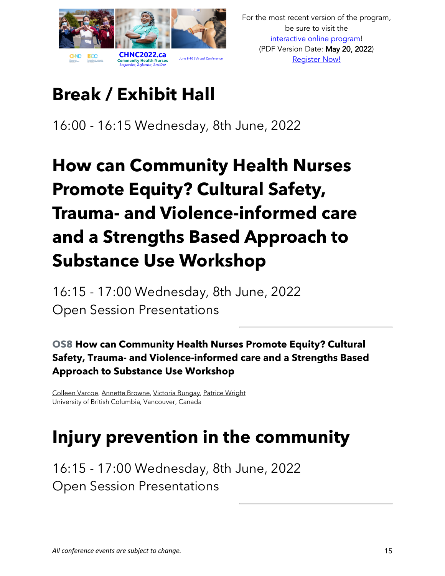

# **Break / Exhibit Hall**

16:00 - 16:15 Wednesday, 8th June, 2022

# **How can Community Health Nurses Promote Equity? Cultural Safety, Trauma- and Violence-informed care and a Strengths Based Approach to Substance Use Workshop**

16:15 - 17:00 Wednesday, 8th June, 2022 Open Session Presentations

#### **OS8 How can Community Health Nurses Promote Equity? Cultural Safety, Trauma- and Violence-informed care and a Strengths Based Approach to Substance Use Workshop**

Colleen Varcoe, Annette Browne, Victoria Bungay, Patrice Wright University of British Columbia, Vancouver, Canada

### **Injury prevention in the community**

16:15 - 17:00 Wednesday, 8th June, 2022 Open Session Presentations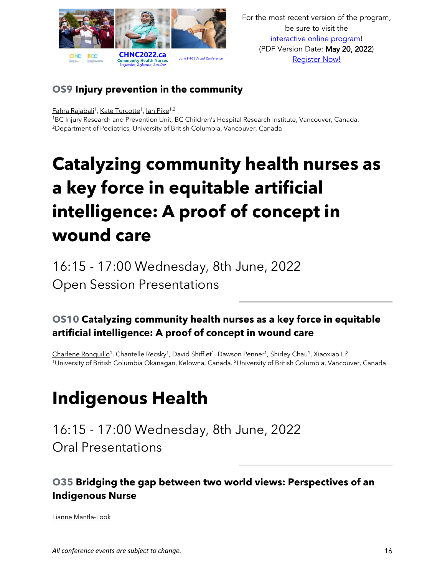

#### **OS9 Injury prevention in the community**

Fahra Rajabali<sup>1</sup>, Kate Turcotte<sup>1</sup>, Ian Pike<sup>1,2</sup>

1BC Injury Research and Prevention Unit, BC Children's Hospital Research Institute, Vancouver, Canada. 2Department of Pediatrics, University of British Columbia, Vancouver, Canada

# **Catalyzing community health nurses as a key force in equitable artificial intelligence: A proof of concept in wound care**

16:15 - 17:00 Wednesday, 8th June, 2022 Open Session Presentations

#### **OS10 Catalyzing community health nurses as a key force in equitable artificial intelligence: A proof of concept in wound care**

Charlene Ronquillo<sup>1</sup>, Chantelle Recsky<sup>1</sup>, David Shifflet<sup>1</sup>, Dawson Penner<sup>1</sup>, Shirley Chau<sup>1</sup>, Xiaoxiao Li<sup>2</sup> 1University of British Columbia Okanagan, Kelowna, Canada. 2University of British Columbia, Vancouver, Canada

## **Indigenous Health**

16:15 - 17:00 Wednesday, 8th June, 2022 Oral Presentations

#### **O35 Bridging the gap between two world views: Perspectives of an Indigenous Nurse**

Lianne Mantla-Look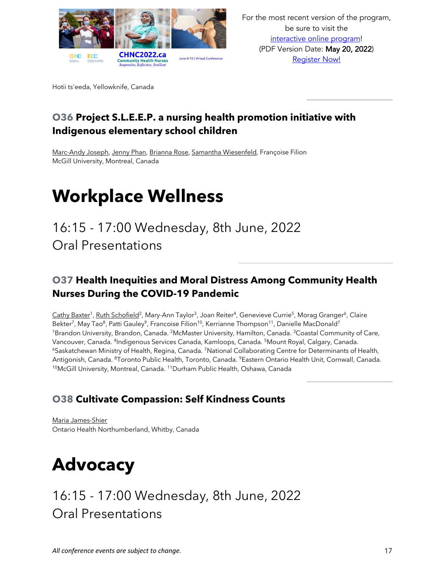

Hotii ts'eeda, Yellowknife, Canada

#### **O36 Project S.L.E.E.P. a nursing health promotion initiative with Indigenous elementary school children**

Marc-Andy Joseph, Jenny Phan, Brianna Rose, Samantha Wiesenfeld, Françoise Filion McGill University, Montreal, Canada

### **Workplace Wellness**

### 16:15 - 17:00 Wednesday, 8th June, 2022 Oral Presentations

#### **O37 Health Inequities and Moral Distress Among Community Health Nurses During the COVID-19 Pandemic**

Cathy Baxter<sup>1</sup>, Ruth Schofield<sup>2</sup>, Mary-Ann Taylor<sup>3</sup>, Joan Reiter<sup>4</sup>, Genevieve Currie<sup>5</sup>, Morag Granger<sup>6</sup>, Claire Bekter<sup>7</sup>, May Tao<sup>8</sup>, Patti Gauley<sup>9</sup>, Francoise Filion<sup>10</sup>, Kerrianne Thompson<sup>11</sup>, Danielle MacDonald<sup>7</sup> <sup>1</sup>Brandon University, Brandon, Canada. <sup>2</sup>McMaster University, Hamilton, Canada. <sup>3</sup>Coastal Community of Care, Vancouver, Canada. 4Indigenous Services Canada, Kamloops, Canada. 5Mount Royal, Calgary, Canada. <sup>6</sup>Saskatchewan Ministry of Health, Regina, Canada. <sup>7</sup>National Collaborating Centre for Determinants of Health, Antigonish, Canada. 8Toronto Public Health, Toronto, Canada. 9Eastern Ontario Health Unit, Cornwall, Canada. <sup>10</sup>McGill University, Montreal, Canada. <sup>11</sup>Durham Public Health, Oshawa, Canada

#### **O38 Cultivate Compassion: Self Kindness Counts**

Maria James-Shier Ontario Health Northumberland, Whitby, Canada

## **Advocacy**

### 16:15 - 17:00 Wednesday, 8th June, 2022 Oral Presentations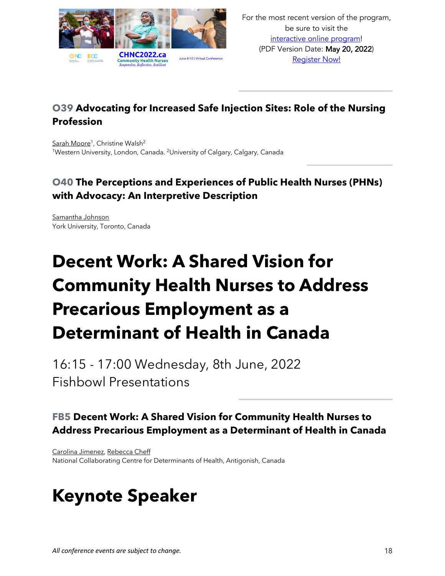

#### **O39 Advocating for Increased Safe Injection Sites: Role of the Nursing Profession**

Sarah Moore<sup>1</sup>, Christine Walsh<sup>2</sup> <sup>1</sup>Western University, London, Canada. <sup>2</sup>University of Calgary, Calgary, Canada

#### **O40 The Perceptions and Experiences of Public Health Nurses (PHNs) with Advocacy: An Interpretive Description**

Samantha Johnson York University, Toronto, Canada

# **Decent Work: A Shared Vision for Community Health Nurses to Address Precarious Employment as a Determinant of Health in Canada**

16:15 - 17:00 Wednesday, 8th June, 2022 Fishbowl Presentations

#### **FB5 Decent Work: A Shared Vision for Community Health Nurses to Address Precarious Employment as a Determinant of Health in Canada**

Carolina Jimenez, Rebecca Cheff National Collaborating Centre for Determinants of Health, Antigonish, Canada

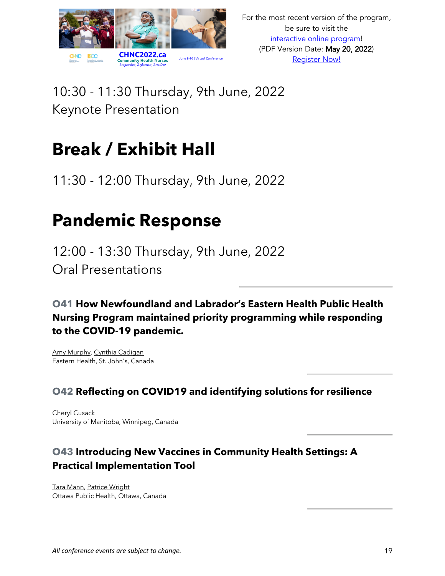

10:30 - 11:30 Thursday, 9th June, 2022 Keynote Presentation

## **Break / Exhibit Hall**

11:30 - 12:00 Thursday, 9th June, 2022

### **Pandemic Response**

12:00 - 13:30 Thursday, 9th June, 2022 Oral Presentations

**O41 How Newfoundland and Labrador's Eastern Health Public Health Nursing Program maintained priority programming while responding to the COVID-19 pandemic.**

Amy Murphy, Cynthia Cadigan Eastern Health, St. John's, Canada

#### **O42 Reflecting on COVID19 and identifying solutions for resilience**

Cheryl Cusack University of Manitoba, Winnipeg, Canada

#### **O43 Introducing New Vaccines in Community Health Settings: A Practical Implementation Tool**

Tara Mann, Patrice Wright Ottawa Public Health, Ottawa, Canada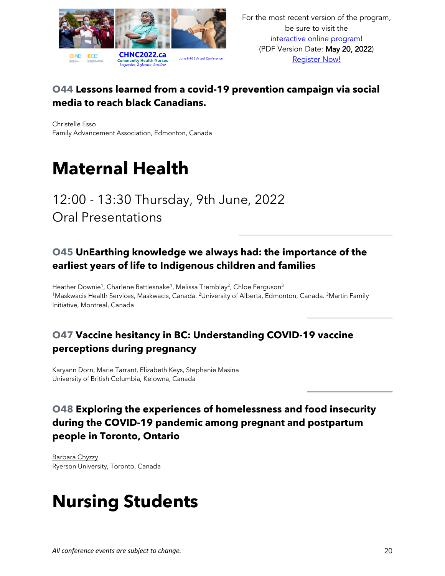

#### **O44 Lessons learned from a covid-19 prevention campaign via social media to reach black Canadians.**

Christelle Esso Family Advancement Association, Edmonton, Canada

### **Maternal Health**

### 12:00 - 13:30 Thursday, 9th June, 2022 Oral Presentations

#### **O45 UnEarthing knowledge we always had: the importance of the earliest years of life to Indigenous children and families**

Heather Downie<sup>1</sup>, Charlene Rattlesnake<sup>1</sup>, Melissa Tremblay<sup>2</sup>, Chloe Ferguson<sup>3</sup> <sup>1</sup>Maskwacis Health Services, Maskwacis, Canada. <sup>2</sup>University of Alberta, Edmonton, Canada. <sup>3</sup>Martin Family Initiative, Montreal, Canada

#### **O47 Vaccine hesitancy in BC: Understanding COVID-19 vaccine perceptions during pregnancy**

Karyann Dorn, Marie Tarrant, Elizabeth Keys, Stephanie Masina University of British Columbia, Kelowna, Canada

#### **O48 Exploring the experiences of homelessness and food insecurity during the COVID-19 pandemic among pregnant and postpartum people in Toronto, Ontario**

Barbara Chyzzy Ryerson University, Toronto, Canada

### **Nursing Students**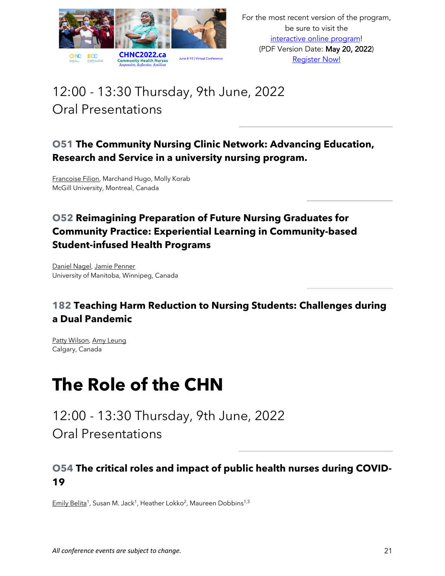

### 12:00 - 13:30 Thursday, 9th June, 2022 Oral Presentations

#### **O51 The Community Nursing Clinic Network: Advancing Education, Research and Service in a university nursing program.**

Francoise Filion, Marchand Hugo, Molly Korab McGill University, Montreal, Canada

#### **O52 Reimagining Preparation of Future Nursing Graduates for Community Practice: Experiential Learning in Community-based Student-infused Health Programs**

Daniel Nagel, Jamie Penner University of Manitoba, Winnipeg, Canada

#### **182 Teaching Harm Reduction to Nursing Students: Challenges during a Dual Pandemic**

Patty Wilson, Amy Leung Calgary, Canada

### **The Role of the CHN**

12:00 - 13:30 Thursday, 9th June, 2022 Oral Presentations

#### **O54 The critical roles and impact of public health nurses during COVID-19**

Emily Belita<sup>1</sup>, Susan M. Jack<sup>1</sup>, Heather Lokko<sup>2</sup>, Maureen Dobbins<sup>1,3</sup>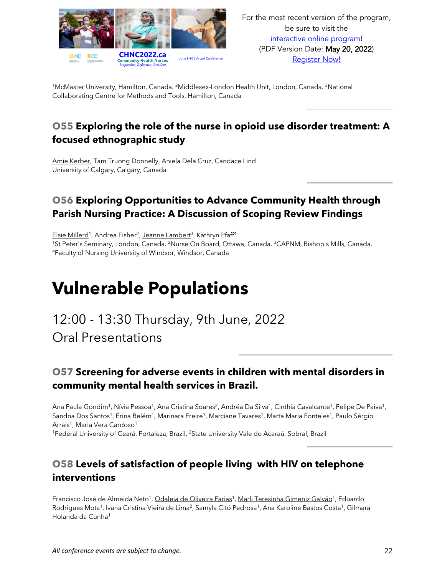

<sup>1</sup>McMaster University, Hamilton, Canada. <sup>2</sup>Middlesex-London Health Unit, London, Canada. <sup>3</sup>National Collaborating Centre for Methods and Tools, Hamilton, Canada

#### **O55 Exploring the role of the nurse in opioid use disorder treatment: A focused ethnographic study**

Amie Kerber, Tam Truong Donnelly, Aniela Dela Cruz, Candace Lind University of Calgary, Calgary, Canada

#### **O56 Exploring Opportunities to Advance Community Health through Parish Nursing Practice: A Discussion of Scoping Review Findings**

Elsie Millerd<sup>1</sup>, Andrea Fisher<sup>2</sup>, Jeanne Lambert<sup>3</sup>, Kathryn Pfaff<sup>4</sup> <sup>1</sup>St Peter's Seminary, London, Canada. <sup>2</sup>Nurse On Board, Ottawa, Canada. <sup>3</sup>CAPNM, Bishop's Mills, Canada.<br><sup>4</sup>Faculty of Nursing University of Windsor, Windsor, Canada

# **Vulnerable Populations**

12:00 - 13:30 Thursday, 9th June, 2022 Oral Presentations

#### **O57 Screening for adverse events in children with mental disorders in community mental health services in Brazil.**

Ana Paula Gondim<sup>1</sup>, Nívia Pessoa<sup>1</sup>, Ana Cristina Soares<sup>2</sup>, Andréa Da Silva<sup>1</sup>, Cinthia Cavalcante<sup>1</sup>, Felipe De Paiva<sup>1</sup>, Sandna Dos Santos<sup>1</sup>, Érina Belém<sup>1</sup>, Marinara Freire<sup>1</sup>, Marciane Tavares<sup>1</sup>, Marta Maria Fonteles<sup>1</sup>, Paulo Sérgio Arrais<sup>1</sup>, Maria Vera Cardoso<sup>1</sup>

<sup>1</sup>Federal University of Ceará, Fortaleza, Brazil. <sup>2</sup>State University Vale do Acaraú, Sobral, Brazil

#### **O58 Levels of satisfaction of people living with HIV on telephone interventions**

Francisco José de Almeida Neto<sup>1</sup>, Odaleia de Oliveira Farias<sup>1</sup>, Marli Teresinha Gimeniz Galvão<sup>1</sup>, Eduardo Rodrigues Mota<sup>1</sup>, Ivana Cristina Vieira de Lima<sup>2</sup>, Samyla Citó Pedrosa<sup>1</sup>, Ana Karoline Bastos Costa<sup>1</sup>, Gilmara Holanda da Cunha1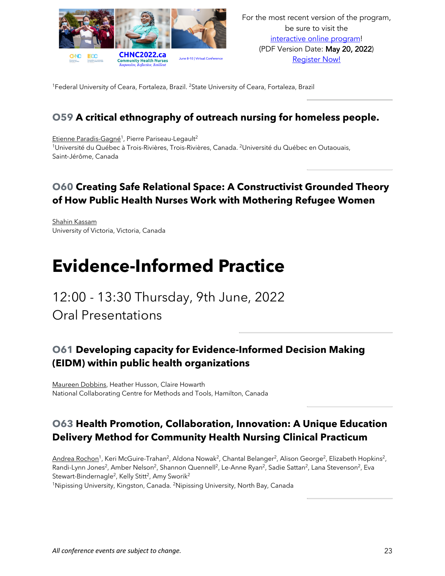

<sup>1</sup>Federal University of Ceara, Fortaleza, Brazil. <sup>2</sup>State University of Ceara, Fortaleza, Brazil

#### **O59 A critical ethnography of outreach nursing for homeless people.**

Etienne Paradis-Gagné<sup>1</sup>, Pierre Pariseau-Legault<sup>2</sup> <sup>1</sup>Université du Québec à Trois-Rivières, Trois-Rivières, Canada. <sup>2</sup>Université du Québec en Outaouais, Saint-Jérôme, Canada

#### **O60 Creating Safe Relational Space: A Constructivist Grounded Theory of How Public Health Nurses Work with Mothering Refugee Women**

Shahin Kassam University of Victoria, Victoria, Canada

### **Evidence-Informed Practice**

### 12:00 - 13:30 Thursday, 9th June, 2022

Oral Presentations

#### **O61 Developing capacity for Evidence-Informed Decision Making (EIDM) within public health organizations**

Maureen Dobbins, Heather Husson, Claire Howarth National Collaborating Centre for Methods and Tools, Hamilton, Canada

#### **O63 Health Promotion, Collaboration, Innovation: A Unique Education Delivery Method for Community Health Nursing Clinical Practicum**

Andrea Rochon<sup>1</sup>, Keri McGuire-Trahan<sup>2</sup>, Aldona Nowak<sup>2</sup>, Chantal Belanger<sup>2</sup>, Alison George<sup>2</sup>, Elizabeth Hopkins<sup>2</sup>, Randi-Lynn Jones<sup>2</sup>, Amber Nelson<sup>2</sup>, Shannon Quennell<sup>2</sup>, Le-Anne Ryan<sup>2</sup>, Sadie Sattan<sup>2</sup>, Lana Stevenson<sup>2</sup>, Eva Stewart-Bindernagle<sup>2</sup>, Kelly Stitt<sup>2</sup>, Amy Sworik<sup>2</sup> 1Nipissing University, Kingston, Canada. 2Nipissing University, North Bay, Canada

*All conference events are subject to change.* 23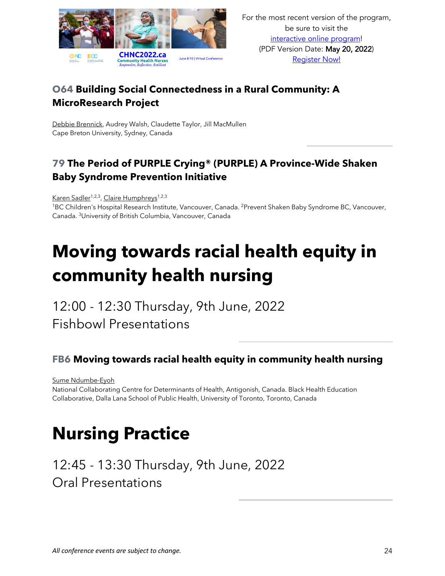

#### **O64 Building Social Connectedness in a Rural Community: A MicroResearch Project**

Debbie Brennick, Audrey Walsh, Claudette Taylor, Jill MacMullen Cape Breton University, Sydney, Canada

#### **79 The Period of PURPLE Crying® (PURPLE) A Province-Wide Shaken Baby Syndrome Prevention Initiative**

Karen Sadler<sup>1,2,3</sup>, Claire Humphreys<sup>1,2,3</sup>

1BC Children's Hospital Research Institute, Vancouver, Canada. 2Prevent Shaken Baby Syndrome BC, Vancouver, Canada. 3University of British Columbia, Vancouver, Canada

# **Moving towards racial health equity in community health nursing**

12:00 - 12:30 Thursday, 9th June, 2022 Fishbowl Presentations

#### **FB6 Moving towards racial health equity in community health nursing**

Sume Ndumbe-Eyoh

National Collaborating Centre for Determinants of Health, Antigonish, Canada. Black Health Education Collaborative, Dalla Lana School of Public Health, University of Toronto, Toronto, Canada

### **Nursing Practice**

12:45 - 13:30 Thursday, 9th June, 2022 Oral Presentations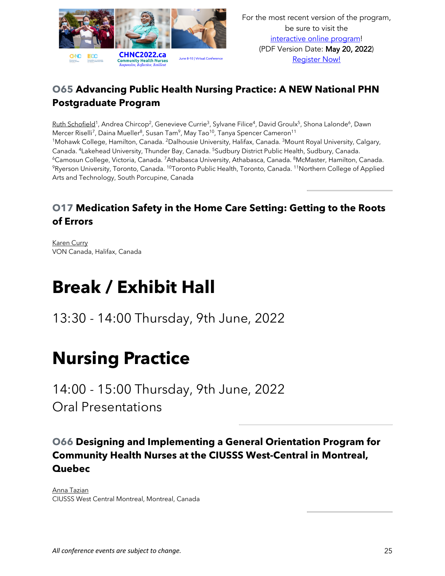

#### **O65 Advancing Public Health Nursing Practice: A NEW National PHN Postgraduate Program**

Ruth Schofield<sup>1</sup>, Andrea Chircop<sup>2</sup>, Genevieve Currie<sup>3</sup>, Sylvane Filice<sup>4</sup>, David Groulx<sup>5</sup>, Shona Lalonde<sup>6</sup>, Dawn Mercer Riselli<sup>7</sup>, Daina Mueller<sup>8</sup>, Susan Tam<sup>9</sup>, May Tao<sup>10</sup>, Tanya Spencer Cameron<sup>11</sup> <sup>1</sup>Mohawk College, Hamilton, Canada. <sup>2</sup>Dalhousie University, Halifax, Canada. <sup>3</sup>Mount Royal University, Calgary, Canada. 4Lakehead University, Thunder Bay, Canada. 5Sudbury District Public Health, Sudbury, Canada. <sup>6</sup>Camosun College, Victoria, Canada. <sup>7</sup>Athabasca University, Athabasca, Canada. <sup>8</sup>McMaster, Hamilton, Canada.<br><sup>9</sup>Ryerson University, Toronto, Canada. <sup>10</sup>Toronto Public Health, Toronto, Canada. <sup>11</sup>Northern College of A Arts and Technology, South Porcupine, Canada

#### **O17 Medication Safety in the Home Care Setting: Getting to the Roots of Errors**

Karen Curry VON Canada, Halifax, Canada

## **Break / Exhibit Hall**

13:30 - 14:00 Thursday, 9th June, 2022

### **Nursing Practice**

14:00 - 15:00 Thursday, 9th June, 2022 Oral Presentations

#### **O66 Designing and Implementing a General Orientation Program for Community Health Nurses at the CIUSSS West-Central in Montreal, Quebec**

Anna Tazian CIUSSS West Central Montreal, Montreal, Canada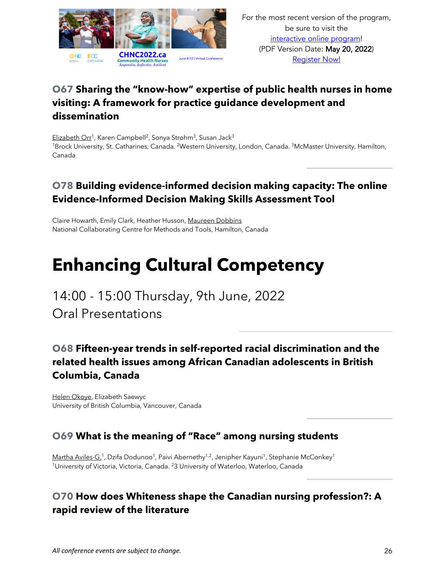

#### **O67 Sharing the "know-how" expertise of public health nurses in home visiting: A framework for practice guidance development and dissemination**

Elizabeth Orr<sup>1</sup>, Karen Campbell<sup>2</sup>, Sonya Strohm<sup>3</sup>, Susan Jack<sup>3</sup> <sup>1</sup>Brock University, St. Catharines, Canada. <sup>2</sup>Western University, London, Canada. <sup>3</sup>McMaster University, Hamilton, Canada

#### **O78 Building evidence-informed decision making capacity: The online Evidence-Informed Decision Making Skills Assessment Tool**

Claire Howarth, Emily Clark, Heather Husson, Maureen Dobbins National Collaborating Centre for Methods and Tools, Hamilton, Canada

## **Enhancing Cultural Competency**

### 14:00 - 15:00 Thursday, 9th June, 2022 Oral Presentations

#### **O68 Fifteen-year trends in self-reported racial discrimination and the related health issues among African Canadian adolescents in British Columbia, Canada**

Helen Okoye, Elizabeth Saewyc University of British Columbia, Vancouver, Canada

#### **O69 What is the meaning of "Race" among nursing students**

Martha Aviles-G.<sup>1</sup>, Dzifa Dodunoo<sup>1</sup>, Paivi Abernethy<sup>1,2</sup>, Jenipher Kayuni<sup>1</sup>, Stephanie McConkey<sup>1</sup> <sup>1</sup>University of Victoria, Victoria, Canada. <sup>2</sup>3 University of Waterloo, Waterloo, Canada

#### **O70 How does Whiteness shape the Canadian nursing profession?: A rapid review of the literature**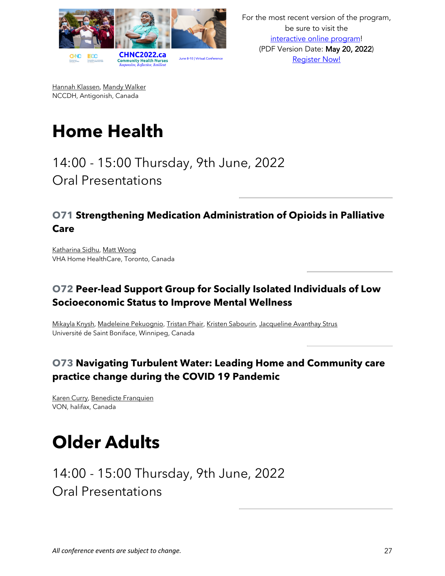

For the most recent version of the program, be sure to visit the interactive online program! (PDF Version Date: May 20, 2022) Register Now!

Hannah Klassen, Mandy Walker NCCDH, Antigonish, Canada

# **Home Health**

### 14:00 - 15:00 Thursday, 9th June, 2022 Oral Presentations

#### **O71 Strengthening Medication Administration of Opioids in Palliative Care**

Katharina Sidhu, Matt Wong VHA Home HealthCare, Toronto, Canada

#### **O72 Peer-lead Support Group for Socially Isolated Individuals of Low Socioeconomic Status to Improve Mental Wellness**

Mikayla Knysh, Madeleine Pekuognio, Tristan Phair, Kristen Sabourin, Jacqueline Avanthay Strus Université de Saint Boniface, Winnipeg, Canada

#### **O73 Navigating Turbulent Water: Leading Home and Community care practice change during the COVID 19 Pandemic**

Karen Curry, Benedicte Franquien VON, halifax, Canada

### **Older Adults**

14:00 - 15:00 Thursday, 9th June, 2022 Oral Presentations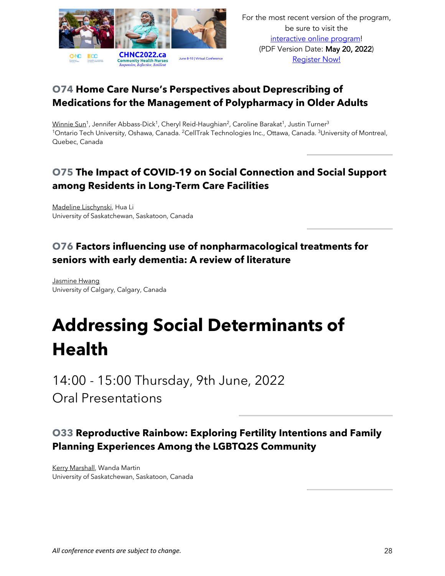

For the most recent version of the program, be sure to visit the interactive online program! (PDF Version Date: May 20, 2022) Register Now!

#### **O74 Home Care Nurse's Perspectives about Deprescribing of Medications for the Management of Polypharmacy in Older Adults**

Winnie Sun<sup>1</sup>, Jennifer Abbass-Dick<sup>1</sup>, Cheryl Reid-Haughian<sup>2</sup>, Caroline Barakat<sup>1</sup>, Justin Turner<sup>3</sup> 1Ontario Tech University, Oshawa, Canada. 2CellTrak Technologies Inc., Ottawa, Canada. 3University of Montreal, Quebec, Canada

#### **O75 The Impact of COVID-19 on Social Connection and Social Support among Residents in Long-Term Care Facilities**

Madeline Lischynski, Hua Li University of Saskatchewan, Saskatoon, Canada

#### **O76 Factors influencing use of nonpharmacological treatments for seniors with early dementia: A review of literature**

Jasmine Hwang University of Calgary, Calgary, Canada

# **Addressing Social Determinants of Health**

14:00 - 15:00 Thursday, 9th June, 2022 Oral Presentations

#### **O33 Reproductive Rainbow: Exploring Fertility Intentions and Family Planning Experiences Among the LGBTQ2S Community**

Kerry Marshall, Wanda Martin University of Saskatchewan, Saskatoon, Canada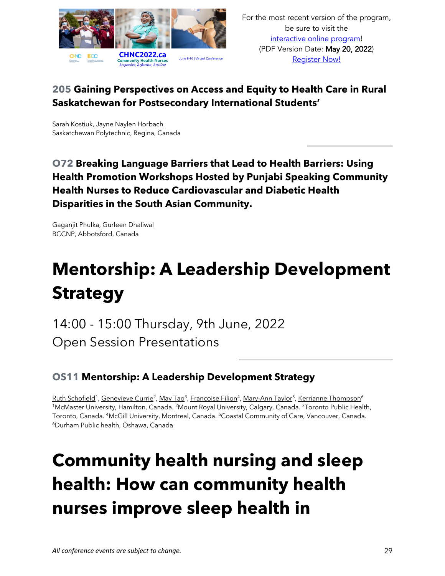

#### **205 Gaining Perspectives on Access and Equity to Health Care in Rural Saskatchewan for Postsecondary International Students'**

Sarah Kostiuk, Jayne Naylen Horbach Saskatchewan Polytechnic, Regina, Canada

**O72 Breaking Language Barriers that Lead to Health Barriers: Using Health Promotion Workshops Hosted by Punjabi Speaking Community Health Nurses to Reduce Cardiovascular and Diabetic Health Disparities in the South Asian Community.**

Gaganjit Phulka, Gurleen Dhaliwal BCCNP, Abbotsford, Canada

# **Mentorship: A Leadership Development Strategy**

14:00 - 15:00 Thursday, 9th June, 2022 Open Session Presentations

#### **OS11 Mentorship: A Leadership Development Strategy**

Ruth Schofield<sup>1</sup>, Genevieve Currie<sup>2</sup>, May Tao<sup>3</sup>, Francoise Filion<sup>4</sup>, Mary-Ann Taylor<sup>5</sup>, Kerrianne Thompson<sup>6</sup> <sup>1</sup>McMaster University, Hamilton, Canada. <sup>2</sup>Mount Royal University, Calgary, Canada. <sup>3</sup>Toronto Public Health, Toronto, Canada. 4McGill University, Montreal, Canada. 5Coastal Community of Care, Vancouver, Canada. 6Durham Public health, Oshawa, Canada

# **Community health nursing and sleep health: How can community health nurses improve sleep health in**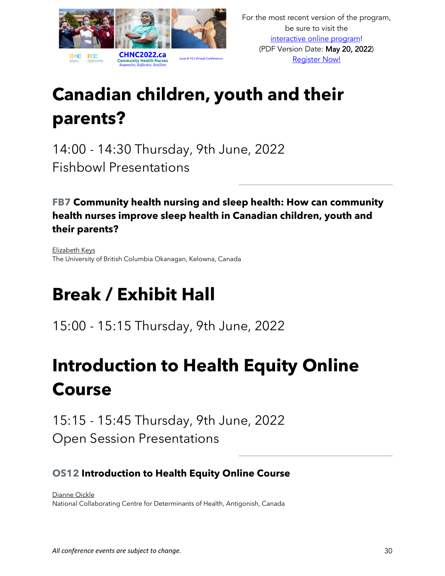

# **Canadian children, youth and their parents?**

14:00 - 14:30 Thursday, 9th June, 2022 Fishbowl Presentations

**FB7 Community health nursing and sleep health: How can community health nurses improve sleep health in Canadian children, youth and their parents?**

Elizabeth Keys The University of British Columbia Okanagan, Kelowna, Canada

# **Break / Exhibit Hall**

15:00 - 15:15 Thursday, 9th June, 2022

# **Introduction to Health Equity Online Course**

15:15 - 15:45 Thursday, 9th June, 2022 Open Session Presentations

#### **OS12 Introduction to Health Equity Online Course**

Dianne Oickle National Collaborating Centre for Determinants of Health, Antigonish, Canada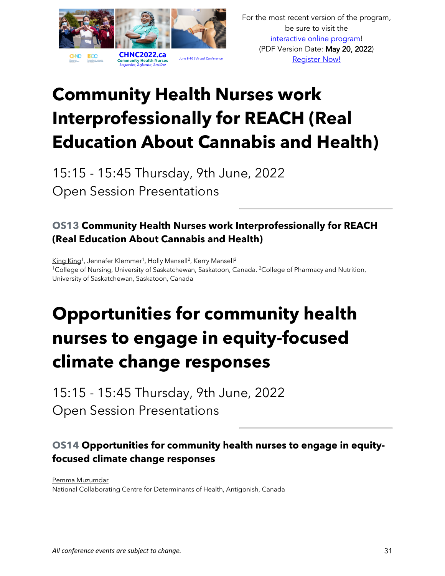

# **Community Health Nurses work Interprofessionally for REACH (Real Education About Cannabis and Health)**

15:15 - 15:45 Thursday, 9th June, 2022 Open Session Presentations

#### **OS13 Community Health Nurses work Interprofessionally for REACH (Real Education About Cannabis and Health)**

King King<sup>1</sup>, Jennafer Klemmer<sup>1</sup>, Holly Mansell<sup>2</sup>, Kerry Mansell<sup>2</sup> <sup>1</sup>College of Nursing, University of Saskatchewan, Saskatoon, Canada. <sup>2</sup>College of Pharmacy and Nutrition, University of Saskatchewan, Saskatoon, Canada

# **Opportunities for community health nurses to engage in equity-focused climate change responses**

15:15 - 15:45 Thursday, 9th June, 2022 Open Session Presentations

#### **OS14 Opportunities for community health nurses to engage in equityfocused climate change responses**

Pemma Muzumdar National Collaborating Centre for Determinants of Health, Antigonish, Canada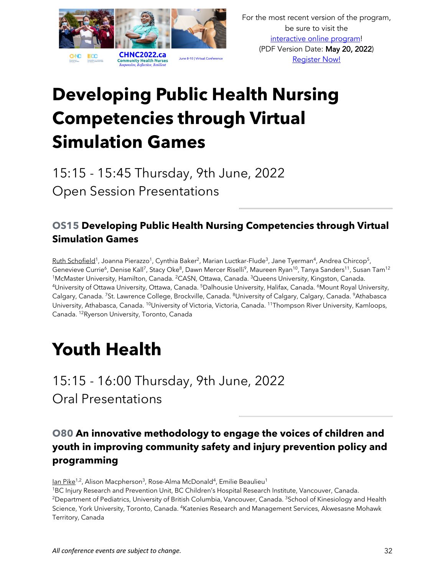

# **Developing Public Health Nursing Competencies through Virtual Simulation Games**

15:15 - 15:45 Thursday, 9th June, 2022 Open Session Presentations

#### **OS15 Developing Public Health Nursing Competencies through Virtual Simulation Games**

Ruth Schofield<sup>1</sup>, Joanna Pierazzo<sup>1</sup>, Cynthia Baker<sup>2</sup>, Marian Luctkar-Flude<sup>3</sup>, Jane Tyerman<sup>4</sup>, Andrea Chircop<sup>5</sup>, Genevieve Currie<sup>6</sup>, Denise Kall<sup>7</sup>, Stacy Oke<sup>8</sup>, Dawn Mercer Riselli<sup>9</sup>, Maureen Ryan<sup>10</sup>, Tanya Sanders<sup>11</sup>, Susan Tam<sup>12</sup> <sup>1</sup>McMaster University, Hamilton, Canada. <sup>2</sup>CASN, Ottawa, Canada. <sup>3</sup>Queens University, Kingston, Canada. <sup>4</sup>University of Ottawa University, Ottawa, Canada. <sup>5</sup>Dalhousie University, Halifax, Canada. <sup>6</sup>Mount Royal University, Calgary, Canada. 7St. Lawrence College, Brockville, Canada. 8University of Calgary, Calgary, Canada. 9Athabasca University, Athabasca, Canada. 10University of Victoria, Victoria, Canada. 11Thompson River University, Kamloops, Canada. 12Ryerson University, Toronto, Canada

### **Youth Health**

15:15 - 16:00 Thursday, 9th June, 2022 Oral Presentations

#### **O80 An innovative methodology to engage the voices of children and youth in improving community safety and injury prevention policy and programming**

Ian Pike<sup>1,2</sup>, Alison Macpherson<sup>3</sup>, Rose-Alma McDonald<sup>4</sup>, Emilie Beaulieu<sup>1</sup>

1BC Injury Research and Prevention Unit, BC Children's Hospital Research Institute, Vancouver, Canada. <sup>2</sup>Department of Pediatrics, University of British Columbia, Vancouver, Canada. <sup>3</sup>School of Kinesiology and Health Science, York University, Toronto, Canada. 4Katenies Research and Management Services, Akwesasne Mohawk Territory, Canada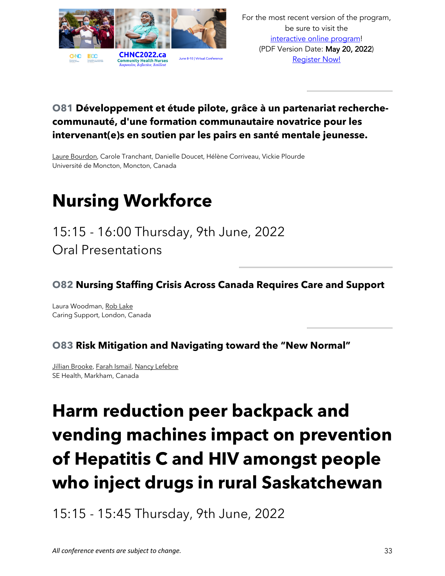

#### **O81 Développement et étude pilote, grâce à un partenariat recherchecommunauté, d'une formation communautaire novatrice pour les intervenant(e)s en soutien par les pairs en santé mentale jeunesse.**

Laure Bourdon, Carole Tranchant, Danielle Doucet, Hélène Corriveau, Vickie Plourde Université de Moncton, Moncton, Canada

## **Nursing Workforce**

15:15 - 16:00 Thursday, 9th June, 2022 Oral Presentations

#### **O82 Nursing Staffing Crisis Across Canada Requires Care and Support**

Laura Woodman, Rob Lake Caring Support, London, Canada

#### **O83 Risk Mitigation and Navigating toward the "New Normal"**

Jillian Brooke, Farah Ismail, Nancy Lefebre SE Health, Markham, Canada

# **Harm reduction peer backpack and vending machines impact on prevention of Hepatitis C and HIV amongst people who inject drugs in rural Saskatchewan**

15:15 - 15:45 Thursday, 9th June, 2022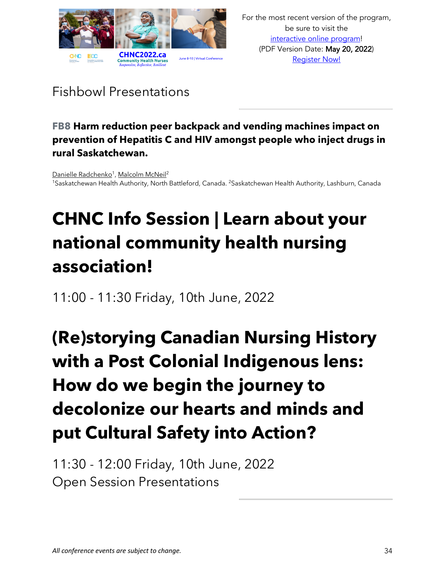

### Fishbowl Presentations

#### **FB8 Harm reduction peer backpack and vending machines impact on prevention of Hepatitis C and HIV amongst people who inject drugs in rural Saskatchewan.**

Danielle Radchenko<sup>1</sup>, Malcolm McNeil<sup>2</sup> 1Saskatchewan Health Authority, North Battleford, Canada. 2Saskatchewan Health Authority, Lashburn, Canada

# **CHNC Info Session | Learn about your national community health nursing association!**

11:00 - 11:30 Friday, 10th June, 2022

# **(Re)storying Canadian Nursing History with a Post Colonial Indigenous lens: How do we begin the journey to decolonize our hearts and minds and put Cultural Safety into Action?**

11:30 - 12:00 Friday, 10th June, 2022 Open Session Presentations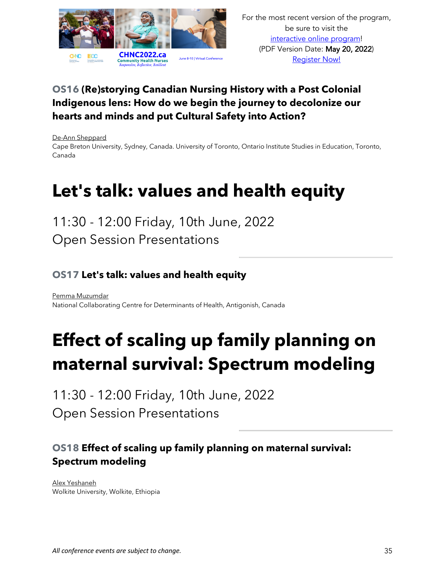

#### **OS16 (Re)storying Canadian Nursing History with a Post Colonial Indigenous lens: How do we begin the journey to decolonize our hearts and minds and put Cultural Safety into Action?**

De-Ann Sheppard

Cape Breton University, Sydney, Canada. University of Toronto, Ontario Institute Studies in Education, Toronto, Canada

## **Let's talk: values and health equity**

11:30 - 12:00 Friday, 10th June, 2022 Open Session Presentations

#### **OS17 Let's talk: values and health equity**

Pemma Muzumdar National Collaborating Centre for Determinants of Health, Antigonish, Canada

# **Effect of scaling up family planning on maternal survival: Spectrum modeling**

11:30 - 12:00 Friday, 10th June, 2022 Open Session Presentations

#### **OS18 Effect of scaling up family planning on maternal survival: Spectrum modeling**

Alex Yeshaneh Wolkite University, Wolkite, Ethiopia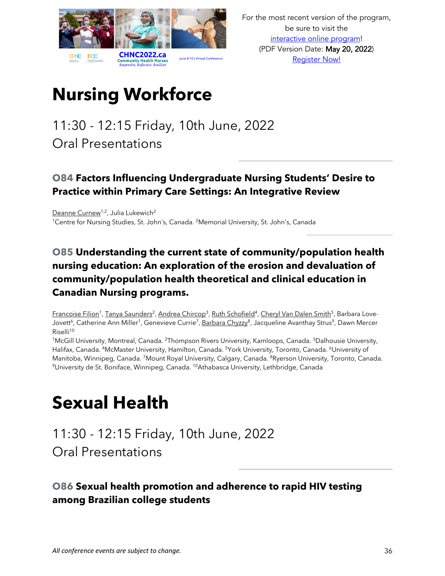

# **Nursing Workforce**

### 11:30 - 12:15 Friday, 10th June, 2022 Oral Presentations

#### **O84 Factors Influencing Undergraduate Nursing Students' Desire to Practice within Primary Care Settings: An Integrative Review**

Deanne Curnew<sup>1,2</sup>, Julia Lukewich<sup>2</sup> <sup>1</sup>Centre for Nursing Studies, St. John's, Canada. <sup>2</sup>Memorial University, St. John's, Canada

#### **O85 Understanding the current state of community/population health nursing education: An exploration of the erosion and devaluation of community/population health theoretical and clinical education in Canadian Nursing programs.**

Francoise Filion<sup>1</sup>, Tanya Saunders<sup>2</sup>, Andrea Chircop<sup>3</sup>, Ruth Schofield<sup>4</sup>, Cheryl Van Dalen Smith<sup>5</sup>, Barbara Love-Jovett<sup>6</sup>, Catherine Ann Miller<sup>1</sup>, Genevieve Currie<sup>7</sup>, Barbara Chyzzy<sup>8</sup>, Jacqueline Avanthay Strus<sup>9</sup>, Dawn Mercer Riselli<sup>10</sup>

<sup>1</sup>McGill University, Montreal, Canada. <sup>2</sup>Thompson Rivers University, Kamloops, Canada. <sup>3</sup>Dalhousie University, Halifax, Canada. <sup>4</sup>McMaster University, Hamilton, Canada. <sup>5</sup>York University, Toronto, Canada. <sup>6</sup>University of Manitoba, Winnipeg, Canada. <sup>7</sup>Mount Royal University, Calgary, Canada. <sup>8</sup>Ryerson University, Toronto, Canada. <sup>9</sup>University de St. Boniface, Winnipeg, Canada. <sup>10</sup>Athabasca University, Lethbridge, Canada

## **Sexual Health**

11:30 - 12:15 Friday, 10th June, 2022 Oral Presentations

**O86 Sexual health promotion and adherence to rapid HIV testing among Brazilian college students**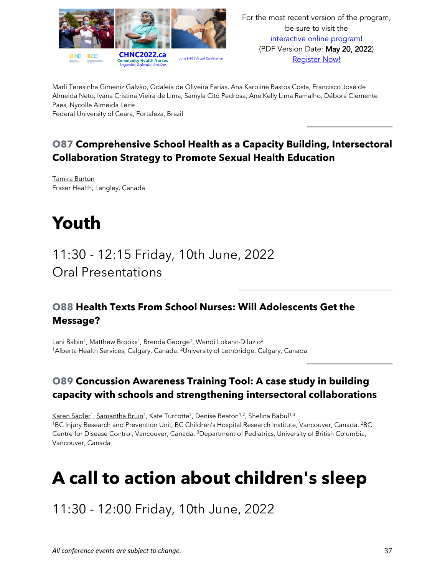

Marli Teresinha Gimeniz Galvão, Odaleia de Oliveira Farias, Ana Karoline Bastos Costa, Francisco José de Almeida Neto, Ivana Cristina Vieira de Lima, Samyla Citó Pedrosa, Ane Kelly Lima Ramalho, Débora Clemente Paes, Nycolle Almeida Leite

Federal University of Ceara, Fortaleza, Brazil

#### **O87 Comprehensive School Health as a Capacity Building, Intersectoral Collaboration Strategy to Promote Sexual Health Education**

Tamira Burton Fraser Health, Langley, Canada

## **Youth**

11:30 - 12:15 Friday, 10th June, 2022 Oral Presentations

#### **O88 Health Texts From School Nurses: Will Adolescents Get the Message?**

Lani Babin<sup>1</sup>, Matthew Brooks<sup>1</sup>, Brenda George<sup>1</sup>, Wendi Lokanc-Diluzio<sup>2</sup> <sup>1</sup>Alberta Health Services, Calgary, Canada. <sup>2</sup>University of Lethbridge, Calgary, Canada

#### **O89 Concussion Awareness Training Tool: A case study in building capacity with schools and strengthening intersectoral collaborations**

Karen Sadler<sup>1</sup>, Samantha Bruin<sup>1</sup>, Kate Turcotte<sup>1</sup>, Denise Beaton<sup>1,2</sup>, Shelina Babul<sup>1,3</sup> <sup>1</sup>BC Injury Research and Prevention Unit, BC Children's Hospital Research Institute, Vancouver, Canada. <sup>2</sup>BC Centre for Disease Control, Vancouver, Canada. 3Department of Pediatrics, University of British Columbia, Vancouver, Canada

## **A call to action about children's sleep**

11:30 - 12:00 Friday, 10th June, 2022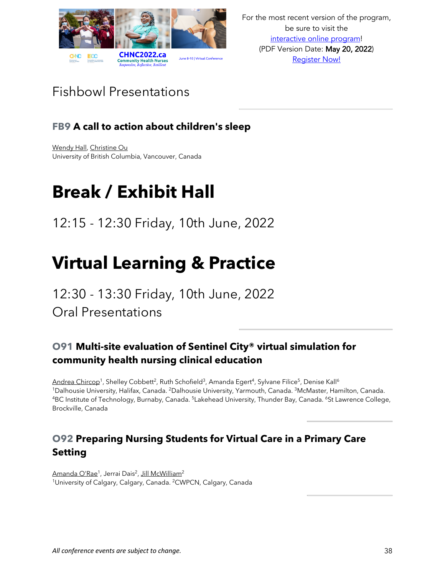

### Fishbowl Presentations

#### **FB9 A call to action about children's sleep**

Wendy Hall, Christine Ou University of British Columbia, Vancouver, Canada

## **Break / Exhibit Hall**

12:15 - 12:30 Friday, 10th June, 2022

### **Virtual Learning & Practice**

12:30 - 13:30 Friday, 10th June, 2022 Oral Presentations

#### **O91 Multi-site evaluation of Sentinel City® virtual simulation for community health nursing clinical education**

Andrea Chircop<sup>1</sup>, Shelley Cobbett<sup>2</sup>, Ruth Schofield<sup>3</sup>, Amanda Egert<sup>4</sup>, Sylvane Filice<sup>5</sup>, Denise Kall<sup>6</sup> <sup>1</sup>Dalhousie University, Halifax, Canada. <sup>2</sup>Dalhousie University, Yarmouth, Canada. <sup>3</sup>McMaster, Hamilton, Canada.<br><sup>4</sup>BC Institute of Technology, Burnaby, Canada. <sup>5</sup>Lakehead University, Thunder Bay, Canada. <sup>6</sup>St Lawrenc Brockville, Canada

#### **O92 Preparing Nursing Students for Virtual Care in a Primary Care Setting**

Amanda O'Rae<sup>1</sup>, Jerrai Dais<sup>2</sup>, Jill McWilliam<sup>2</sup> <sup>1</sup>University of Calgary, Calgary, Canada. <sup>2</sup>CWPCN, Calgary, Canada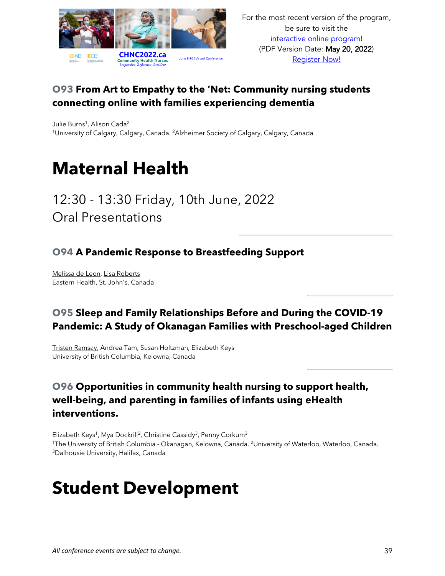

#### **O93 From Art to Empathy to the 'Net: Community nursing students connecting online with families experiencing dementia**

Julie Burns<sup>1</sup>, Alison Cada<sup>2</sup> <sup>1</sup>University of Calgary, Calgary, Canada. <sup>2</sup>Alzheimer Society of Calgary, Calgary, Canada

### **Maternal Health**

12:30 - 13:30 Friday, 10th June, 2022 Oral Presentations

#### **O94 A Pandemic Response to Breastfeeding Support**

Melissa de Leon, Lisa Roberts Eastern Health, St. John's, Canada

#### **O95 Sleep and Family Relationships Before and During the COVID-19 Pandemic: A Study of Okanagan Families with Preschool-aged Children**

Tristen Ramsay, Andrea Tam, Susan Holtzman, Elizabeth Keys University of British Columbia, Kelowna, Canada

#### **O96 Opportunities in community health nursing to support health, well-being, and parenting in families of infants using eHealth interventions.**

Elizabeth Keys<sup>1</sup>, Mya Dockrill<sup>2</sup>, Christine Cassidy<sup>3</sup>, Penny Corkum<sup>3</sup> <sup>1</sup>The University of British Columbia - Okanagan, Kelowna, Canada. <sup>2</sup>University of Waterloo, Waterloo, Canada. 3Dalhousie University, Halifax, Canada

### **Student Development**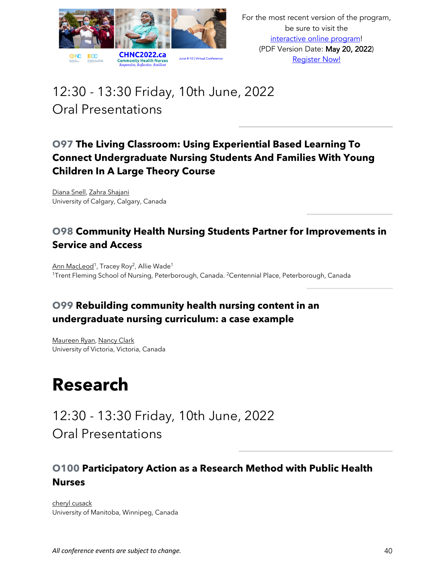

### 12:30 - 13:30 Friday, 10th June, 2022 Oral Presentations

#### **O97 The Living Classroom: Using Experiential Based Learning To Connect Undergraduate Nursing Students And Families With Young Children In A Large Theory Course**

Diana Snell, Zahra Shajani University of Calgary, Calgary, Canada

#### **O98 Community Health Nursing Students Partner for Improvements in Service and Access**

Ann MacLeod<sup>1</sup>, Tracey Roy<sup>2</sup>, Allie Wade<sup>1</sup> <sup>1</sup>Trent Fleming School of Nursing, Peterborough, Canada. <sup>2</sup>Centennial Place, Peterborough, Canada

#### **O99 Rebuilding community health nursing content in an undergraduate nursing curriculum: a case example**

Maureen Ryan, Nancy Clark University of Victoria, Victoria, Canada

### **Research**

12:30 - 13:30 Friday, 10th June, 2022 Oral Presentations

#### **O100 Participatory Action as a Research Method with Public Health Nurses**

cheryl cusack University of Manitoba, Winnipeg, Canada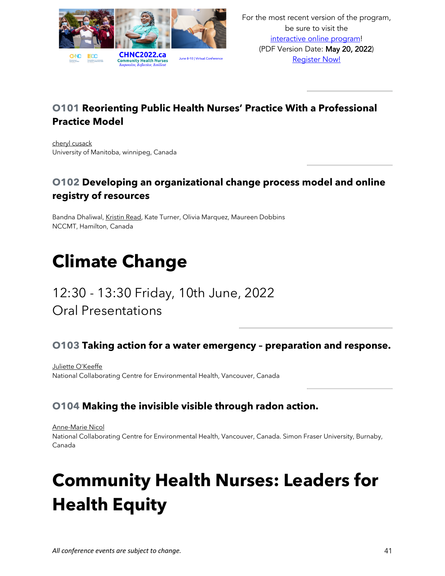

#### **O101 Reorienting Public Health Nurses' Practice With a Professional Practice Model**

cheryl cusack University of Manitoba, winnipeg, Canada

#### **O102 Developing an organizational change process model and online registry of resources**

Bandna Dhaliwal, Kristin Read, Kate Turner, Olivia Marquez, Maureen Dobbins NCCMT, Hamilton, Canada

# **Climate Change**

### 12:30 - 13:30 Friday, 10th June, 2022 Oral Presentations

#### **O103 Taking action for a water emergency – preparation and response.**

Juliette O'Keeffe National Collaborating Centre for Environmental Health, Vancouver, Canada

#### **O104 Making the invisible visible through radon action.**

Anne-Marie Nicol National Collaborating Centre for Environmental Health, Vancouver, Canada. Simon Fraser University, Burnaby, Canada

# **Community Health Nurses: Leaders for Health Equity**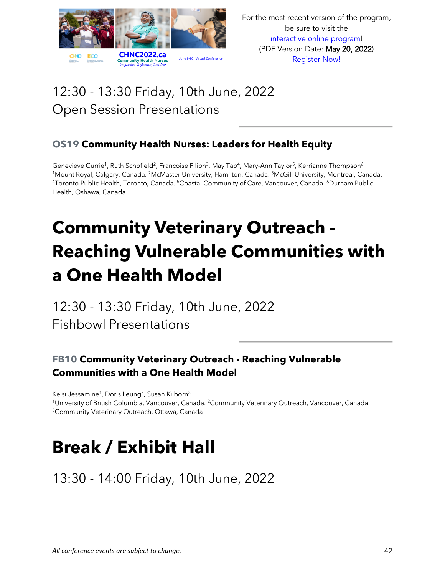

### 12:30 - 13:30 Friday, 10th June, 2022 Open Session Presentations

#### **OS19 Community Health Nurses: Leaders for Health Equity**

Genevieve Currie<sup>1</sup>, Ruth Schofield<sup>2</sup>, Francoise Filion<sup>3</sup>, May Tao<sup>4</sup>, Mary-Ann Taylor<sup>5</sup>, Kerrianne Thompson<sup>6</sup> 1Mount Royal, Calgary, Canada. 2McMaster University, Hamilton, Canada. 3McGill University, Montreal, Canada. 4Toronto Public Health, Toronto, Canada. 5Coastal Community of Care, Vancouver, Canada. 6Durham Public Health, Oshawa, Canada

# **Community Veterinary Outreach - Reaching Vulnerable Communities with a One Health Model**

12:30 - 13:30 Friday, 10th June, 2022 Fishbowl Presentations

#### **FB10 Community Veterinary Outreach - Reaching Vulnerable Communities with a One Health Model**

Kelsi Jessamine<sup>1</sup>, Doris Leung<sup>2</sup>, Susan Kilborn<sup>3</sup> <sup>1</sup>University of British Columbia, Vancouver, Canada. <sup>2</sup>Community Veterinary Outreach, Vancouver, Canada. <sup>3</sup>Community Veterinary Outreach, Ottawa, Canada

# **Break / Exhibit Hall**

13:30 - 14:00 Friday, 10th June, 2022